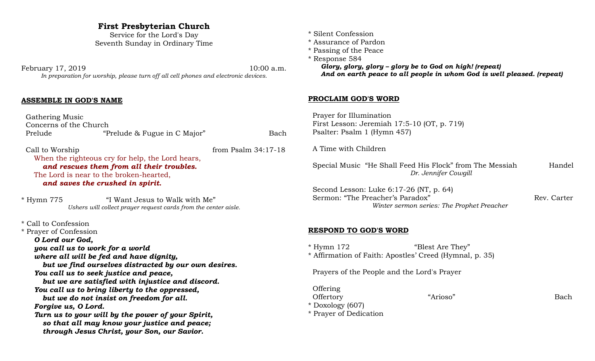# **First Presbyterian Church**

Service for the Lord's Day Seventh Sunday in Ordinary Time

February 17, 2019 10:00 a.m. *In preparation for worship, please turn off all cell phones and electronic devices.*

#### **ASSEMBLE IN GOD'S NAME**

 Gathering Music Concerns of the Church Prelude "Prelude & Fugue in C Major" Bach

Call to Worship from Psalm 34:17-18 When the righteous cry for help, the Lord hears, *and rescues them from all their troubles.*  The Lord is near to the broken-hearted, *and saves the crushed in spirit.* 

\* Hymn 775 "I Want Jesus to Walk with Me" *Ushers will collect prayer request cards from the center aisle.*

\* Call to Confession

\* Prayer of Confession *O Lord our God,*

*you call us to work for a world*

*where all will be fed and have dignity,*

*but we find ourselves distracted by our own desires.*

*You call us to seek justice and peace,*

*but we are satisfied with injustice and discord. You call us to bring liberty to the oppressed,*

*but we do not insist on freedom for all. Forgive us, O Lord.*

*Turn us to your will by the power of your Spirit, so that all may know your justice and peace; through Jesus Christ, your Son, our Savior.*

- \* Silent Confession
- \* Assurance of Pardon
- \* Passing of the Peace
- \* Response 584

*Glory, glory, glory – glory be to God on high! (repeat) And on earth peace to all people in whom God is well pleased. (repeat)*

#### **PROCLAIM GOD'S WORD**

 Prayer for Illumination First Lesson: Jeremiah 17:5-10 (OT, p. 719) Psalter: Psalm 1 (Hymn 457) A Time with Children Special Music "He Shall Feed His Flock" from The Messiah Handel *Dr. Jennifer Cowgill* Second Lesson: Luke 6:17-26 (NT, p. 64) Sermon: "The Preacher's Paradox" Rev. Carter *Winter sermon series: The Prophet Preacher* **RESPOND TO GOD'S WORD** \* Hymn 172 "Blest Are They" \* Affirmation of Faith: Apostles' Creed (Hymnal, p. 35) Prayers of the People and the Lord's Prayer Offering Offertory "Arioso" Bach

\* Doxology (607) \* Prayer of Dedication